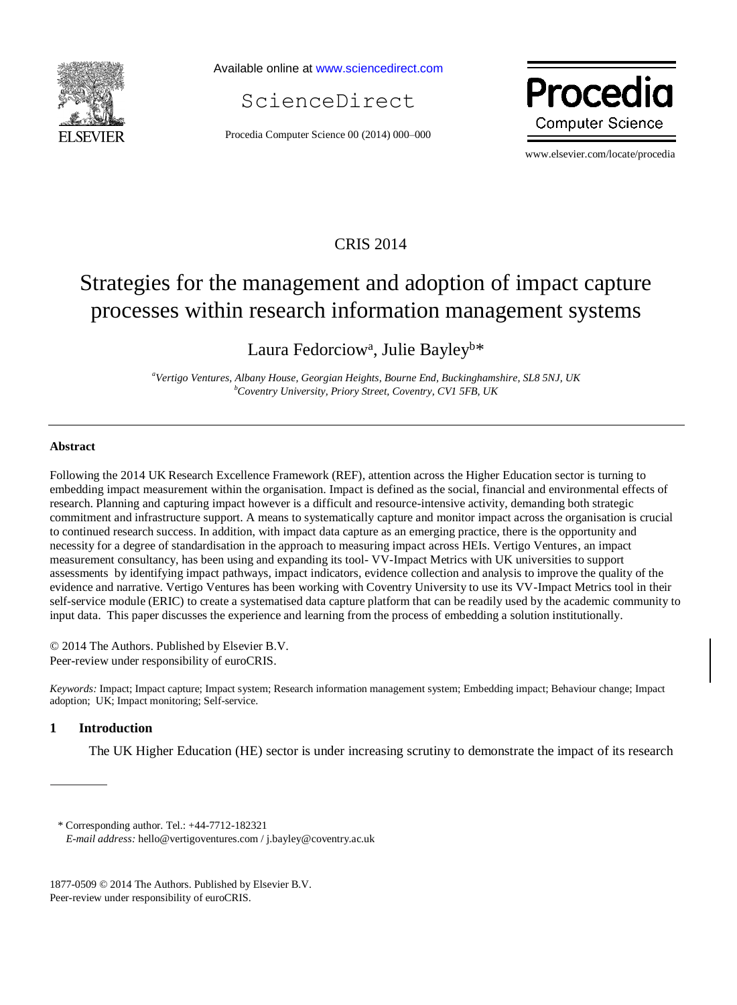

Available online at [www.sciencedirect.com](http://www.sciencedirect.com/science/journal/22120173)



Procedia Computer Science 00 (2014) 000–000

Proced **Computer Science** 

www.elsevier.com/locate/procedia

## CRIS 2014

# Strategies for the management and adoption of impact capture processes within research information management systems

Laura Fedorciow<sup>a</sup>, Julie Bayley<sup>b\*</sup>

*<sup>a</sup>Vertigo Ventures, Albany House, Georgian Heights, Bourne End, Buckinghamshire, SL8 5NJ, UK <sup>b</sup>Coventry University, Priory Street, Coventry, CV1 5FB, UK*

#### **Abstract**

Following the 2014 UK Research Excellence Framework (REF), attention across the Higher Education sector is turning to embedding impact measurement within the organisation. Impact is defined as the social, financial and environmental effects of research. Planning and capturing impact however is a difficult and resource-intensive activity, demanding both strategic commitment and infrastructure support. A means to systematically capture and monitor impact across the organisation is crucial to continued research success. In addition, with impact data capture as an emerging practice, there is the opportunity and necessity for a degree of standardisation in the approach to measuring impact across HEIs. Vertigo Ventures, an impact measurement consultancy, has been using and expanding its tool- VV-Impact Metrics with UK universities to support assessments by identifying impact pathways, impact indicators, evidence collection and analysis to improve the quality of the evidence and narrative. Vertigo Ventures has been working with Coventry University to use its VV-Impact Metrics tool in their self-service module (ERIC) to create a systematised data capture platform that can be readily used by the academic community to input data. This paper discusses the experience and learning from the process of embedding a solution institutionally.

© 2014 The Authors. Published by Elsevier B.V. Peer-review under responsibility of euroCRIS.

*Keywords:* Impact; Impact capture; Impact system; Research information management system; Embedding impact; Behaviour change; Impact adoption; UK; Impact monitoring; Self-service.

#### **1 Introduction**

The UK Higher Education (HE) sector is under increasing scrutiny to demonstrate the impact of its research

\* Corresponding author. Tel.: +44-7712-182321

1877-0509 © 2014 The Authors. Published by Elsevier B.V. Peer-review under responsibility of euroCRIS.

*E-mail address:* [hello@vertigoventures.com](mailto:hello@vertigoventures.com) / j.bayley@coventry.ac.uk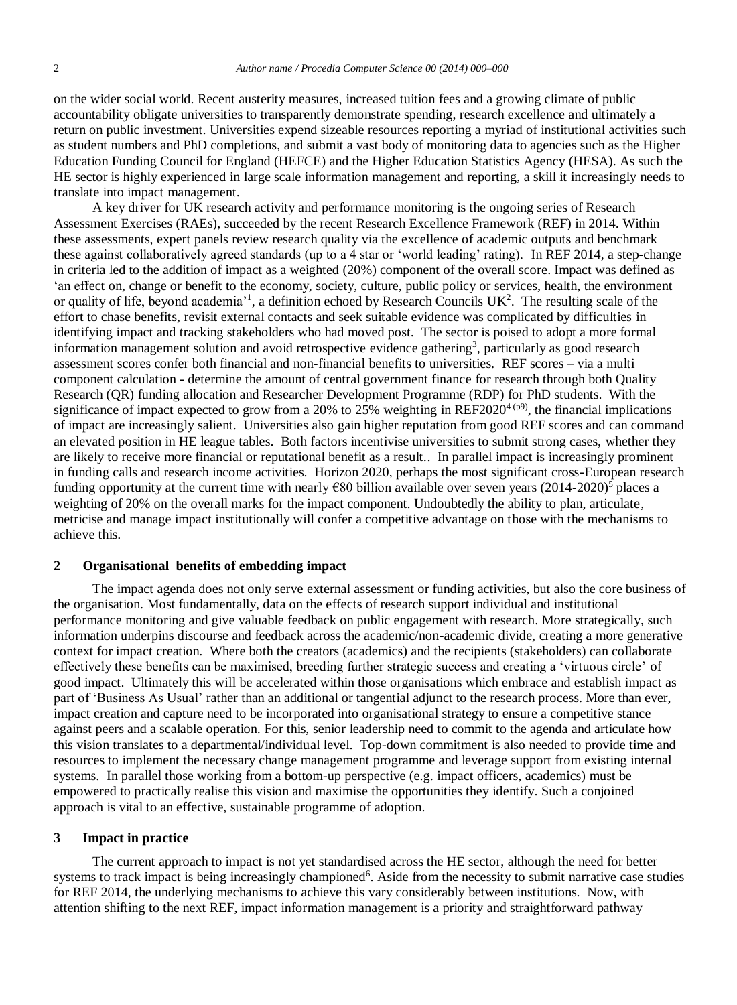on the wider social world. Recent austerity measures, increased tuition fees and a growing climate of public accountability obligate universities to transparently demonstrate spending, research excellence and ultimately a return on public investment. Universities expend sizeable resources reporting a myriad of institutional activities such as student numbers and PhD completions, and submit a vast body of monitoring data to agencies such as the Higher Education Funding Council for England (HEFCE) and the Higher Education Statistics Agency (HESA). As such the HE sector is highly experienced in large scale information management and reporting, a skill it increasingly needs to translate into impact management.

A key driver for UK research activity and performance monitoring is the ongoing series of Research Assessment Exercises (RAEs), succeeded by the recent Research Excellence Framework (REF) in 2014. Within these assessments, expert panels review research quality via the excellence of academic outputs and benchmark these against collaboratively agreed standards (up to a 4 star or 'world leading' rating). In REF 2014, a step-change in criteria led to the addition of impact as a weighted (20%) component of the overall score. Impact was defined as 'an effect on, change or benefit to the economy, society, culture, public policy or services, health, the environment or quality of life, beyond academia<sup>'1</sup>, a definition echoed by Research Councils UK<sup>2</sup>. The resulting scale of the effort to chase benefits, revisit external contacts and seek suitable evidence was complicated by difficulties in identifying impact and tracking stakeholders who had moved post. The sector is poised to adopt a more formal information management solution and avoid retrospective evidence gathering<sup>3</sup>, particularly as good research assessment scores confer both financial and non-financial benefits to universities. REF scores – via a multi component calculation - determine the amount of central government finance for research through both Quality Research (QR) funding allocation and Researcher Development Programme (RDP) for PhD students. With the significance of impact expected to grow from a 20% to 25% weighting in REF2020<sup>4 (p9)</sup>, the financial implications of impact are increasingly salient. Universities also gain higher reputation from good REF scores and can command an elevated position in HE league tables. Both factors incentivise universities to submit strong cases, whether they are likely to receive more financial or reputational benefit as a result.. In parallel impact is increasingly prominent in funding calls and research income activities. Horizon 2020, perhaps the most significant cross-European research funding opportunity at the current time with nearly  $\epsilon$ 80 billion available over seven years (2014-2020)<sup>5</sup> places a weighting of 20% on the overall marks for the impact component. Undoubtedly the ability to plan, articulate, metricise and manage impact institutionally will confer a competitive advantage on those with the mechanisms to achieve this.

#### **2 Organisational benefits of embedding impact**

The impact agenda does not only serve external assessment or funding activities, but also the core business of the organisation. Most fundamentally, data on the effects of research support individual and institutional performance monitoring and give valuable feedback on public engagement with research. More strategically, such information underpins discourse and feedback across the academic/non-academic divide, creating a more generative context for impact creation. Where both the creators (academics) and the recipients (stakeholders) can collaborate effectively these benefits can be maximised, breeding further strategic success and creating a 'virtuous circle' of good impact. Ultimately this will be accelerated within those organisations which embrace and establish impact as part of 'Business As Usual' rather than an additional or tangential adjunct to the research process. More than ever, impact creation and capture need to be incorporated into organisational strategy to ensure a competitive stance against peers and a scalable operation. For this, senior leadership need to commit to the agenda and articulate how this vision translates to a departmental/individual level. Top-down commitment is also needed to provide time and resources to implement the necessary change management programme and leverage support from existing internal systems. In parallel those working from a bottom-up perspective (e.g. impact officers, academics) must be empowered to practically realise this vision and maximise the opportunities they identify. Such a conjoined approach is vital to an effective, sustainable programme of adoption.

## **3 Impact in practice**

The current approach to impact is not yet standardised across the HE sector, although the need for better systems to track impact is being increasingly championed<sup>6</sup>. Aside from the necessity to submit narrative case studies for REF 2014, the underlying mechanisms to achieve this vary considerably between institutions. Now, with attention shifting to the next REF, impact information management is a priority and straightforward pathway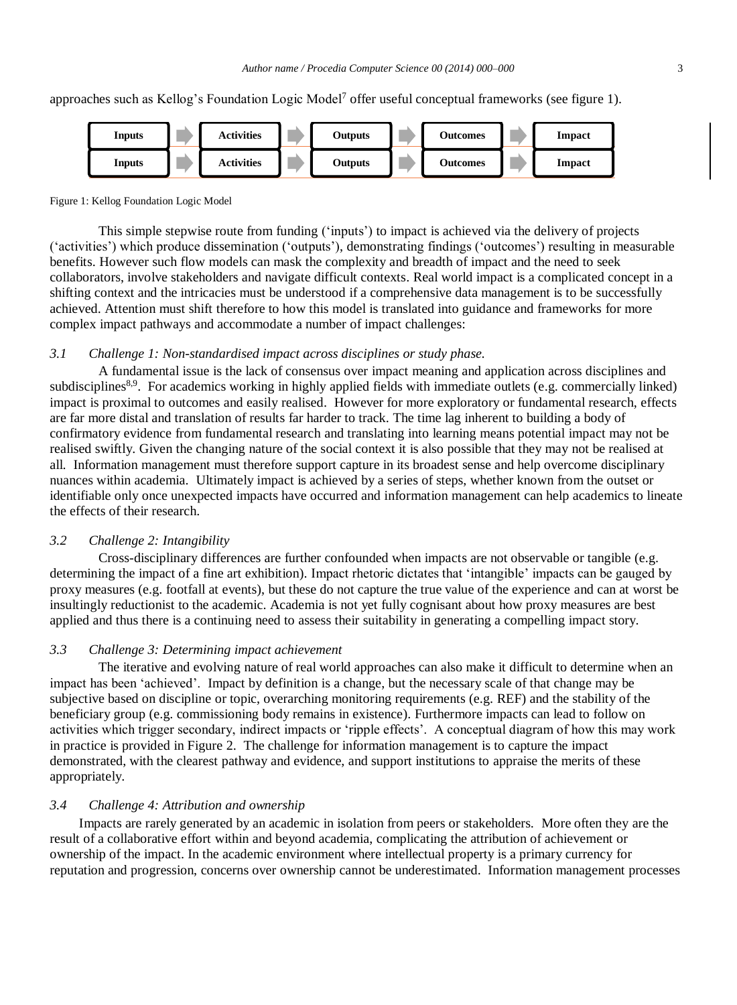approaches such as Kellog's Foundation Logic Model<sup>7</sup> offer useful conceptual frameworks (see figure 1).



Figure 1: Kellog Foundation Logic Model

This simple stepwise route from funding ('inputs') to impact is achieved via the delivery of projects ('activities') which produce dissemination ('outputs'), demonstrating findings ('outcomes') resulting in measurable benefits. However such flow models can mask the complexity and breadth of impact and the need to seek collaborators, involve stakeholders and navigate difficult contexts. Real world impact is a complicated concept in a shifting context and the intricacies must be understood if a comprehensive data management is to be successfully achieved. Attention must shift therefore to how this model is translated into guidance and frameworks for more complex impact pathways and accommodate a number of impact challenges:

## *3.1 Challenge 1: Non-standardised impact across disciplines or study phase.*

A fundamental issue is the lack of consensus over impact meaning and application across disciplines and subdisciplines<sup>8,9</sup>. For academics working in highly applied fields with immediate outlets (e.g. commercially linked) impact is proximal to outcomes and easily realised. However for more exploratory or fundamental research, effects are far more distal and translation of results far harder to track. The time lag inherent to building a body of confirmatory evidence from fundamental research and translating into learning means potential impact may not be realised swiftly. Given the changing nature of the social context it is also possible that they may not be realised at all. Information management must therefore support capture in its broadest sense and help overcome disciplinary nuances within academia. Ultimately impact is achieved by a series of steps, whether known from the outset or identifiable only once unexpected impacts have occurred and information management can help academics to lineate the effects of their research.

## *3.2 Challenge 2: Intangibility*

Cross-disciplinary differences are further confounded when impacts are not observable or tangible (e.g. determining the impact of a fine art exhibition). Impact rhetoric dictates that 'intangible' impacts can be gauged by proxy measures (e.g. footfall at events), but these do not capture the true value of the experience and can at worst be insultingly reductionist to the academic. Academia is not yet fully cognisant about how proxy measures are best applied and thus there is a continuing need to assess their suitability in generating a compelling impact story.

## *3.3 Challenge 3: Determining impact achievement*

The iterative and evolving nature of real world approaches can also make it difficult to determine when an impact has been 'achieved'. Impact by definition is a change, but the necessary scale of that change may be subjective based on discipline or topic, overarching monitoring requirements (e.g. REF) and the stability of the beneficiary group (e.g. commissioning body remains in existence). Furthermore impacts can lead to follow on activities which trigger secondary, indirect impacts or 'ripple effects'. A conceptual diagram of how this may work in practice is provided in Figure 2. The challenge for information management is to capture the impact demonstrated, with the clearest pathway and evidence, and support institutions to appraise the merits of these appropriately.

#### *3.4 Challenge 4: Attribution and ownership*

Impacts are rarely generated by an academic in isolation from peers or stakeholders. More often they are the result of a collaborative effort within and beyond academia, complicating the attribution of achievement or ownership of the impact. In the academic environment where intellectual property is a primary currency for reputation and progression, concerns over ownership cannot be underestimated. Information management processes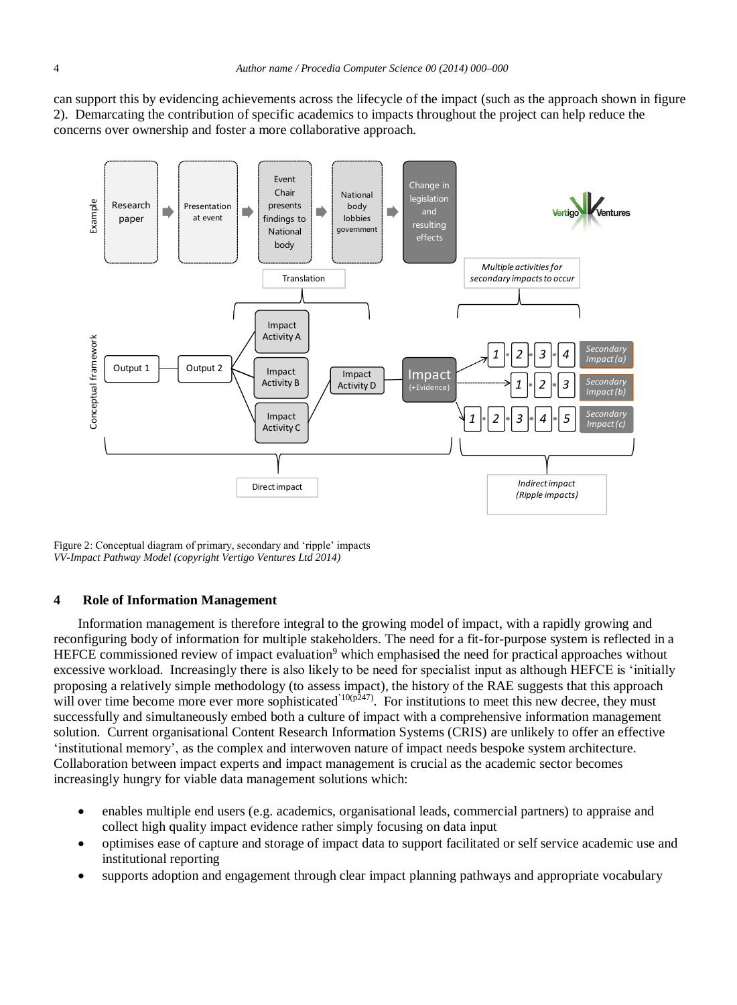can support this by evidencing achievements across the lifecycle of the impact (such as the approach shown in figure 2). Demarcating the contribution of specific academics to impacts throughout the project can help reduce the concerns over ownership and foster a more collaborative approach.



Figure 2: Conceptual diagram of primary, secondary and 'ripple' impacts *VV-Impact Pathway Model (copyright Vertigo Ventures Ltd 2014)* 

#### **4 Role of Information Management**

Information management is therefore integral to the growing model of impact, with a rapidly growing and reconfiguring body of information for multiple stakeholders. The need for a fit-for-purpose system is reflected in a HEFCE commissioned review of impact evaluation<sup>9</sup> which emphasised the need for practical approaches without excessive workload. Increasingly there is also likely to be need for specialist input as although HEFCE is 'initially proposing a relatively simple methodology (to assess impact), the history of the RAE suggests that this approach will over time become more ever more sophisticated<sup>'10(p247)</sup>. For institutions to meet this new decree, they must successfully and simultaneously embed both a culture of impact with a comprehensive information management solution. Current organisational Content Research Information Systems (CRIS) are unlikely to offer an effective 'institutional memory', as the complex and interwoven nature of impact needs bespoke system architecture. Collaboration between impact experts and impact management is crucial as the academic sector becomes increasingly hungry for viable data management solutions which:

- enables multiple end users (e.g. academics, organisational leads, commercial partners) to appraise and collect high quality impact evidence rather simply focusing on data input
- optimises ease of capture and storage of impact data to support facilitated or self service academic use and institutional reporting
-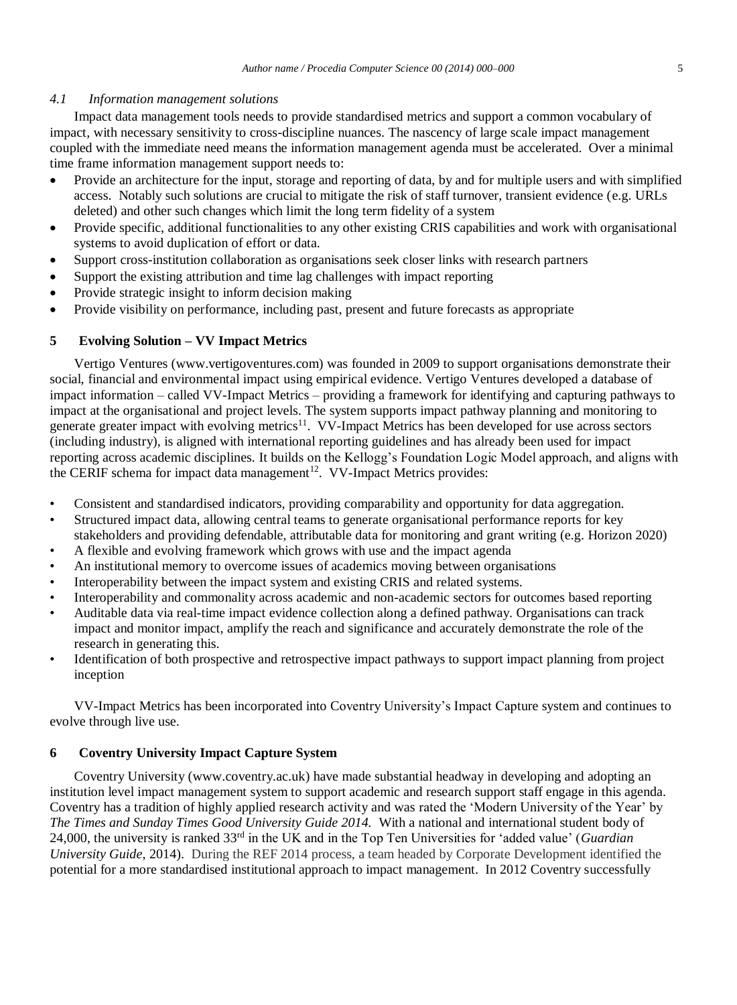## *4.1 Information management solutions*

Impact data management tools needs to provide standardised metrics and support a common vocabulary of impact, with necessary sensitivity to cross-discipline nuances. The nascency of large scale impact management coupled with the immediate need means the information management agenda must be accelerated. Over a minimal time frame information management support needs to:

- Provide an architecture for the input, storage and reporting of data, by and for multiple users and with simplified access. Notably such solutions are crucial to mitigate the risk of staff turnover, transient evidence (e.g. URLs deleted) and other such changes which limit the long term fidelity of a system
- Provide specific, additional functionalities to any other existing CRIS capabilities and work with organisational systems to avoid duplication of effort or data.
- Support cross-institution collaboration as organisations seek closer links with research partners
- Support the existing attribution and time lag challenges with impact reporting
- Provide strategic insight to inform decision making
- Provide visibility on performance, including past, present and future forecasts as appropriate

## **5 Evolving Solution – VV Impact Metrics**

Vertigo Ventures [\(www.vertigoventures.com\)](http://www.vertigoventures.com/) was founded in 2009 to support organisations demonstrate their social, financial and environmental impact using empirical evidence. Vertigo Ventures developed a database of impact information – called VV-Impact Metrics – providing a framework for identifying and capturing pathways to impact at the organisational and project levels. The system supports impact pathway planning and monitoring to generate greater impact with evolving metrics<sup>11</sup>. VV-Impact Metrics has been developed for use across sectors (including industry), is aligned with international reporting guidelines and has already been used for impact reporting across academic disciplines. It builds on the Kellogg's Foundation Logic Model approach, and aligns with the CERIF schema for impact data management<sup>12</sup>. VV-Impact Metrics provides:

- Consistent and standardised indicators, providing comparability and opportunity for data aggregation.
- Structured impact data, allowing central teams to generate organisational performance reports for key stakeholders and providing defendable, attributable data for monitoring and grant writing (e.g. Horizon 2020)
- A flexible and evolving framework which grows with use and the impact agenda
- An institutional memory to overcome issues of academics moving between organisations
- Interoperability between the impact system and existing CRIS and related systems.
- Interoperability and commonality across academic and non-academic sectors for outcomes based reporting
- Auditable data via real-time impact evidence collection along a defined pathway. Organisations can track impact and monitor impact, amplify the reach and significance and accurately demonstrate the role of the research in generating this.
- Identification of both prospective and retrospective impact pathways to support impact planning from project inception

VV-Impact Metrics has been incorporated into Coventry University's Impact Capture system and continues to evolve through live use.

## **6 Coventry University Impact Capture System**

Coventry University (www.coventry.ac.uk) have made substantial headway in developing and adopting an institution level impact management system to support academic and research support staff engage in this agenda. Coventry has a tradition of highly applied research activity and was rated the 'Modern University of the Year' by *The Times and Sunday Times Good University Guide 2014.* With a national and international student body of 24,000, the university is ranked 33rd in the UK and in the Top Ten Universities for 'added value' (*Guardian University Guide*, 2014). During the REF 2014 process, a team headed by Corporate Development identified the potential for a more standardised institutional approach to impact management. In 2012 Coventry successfully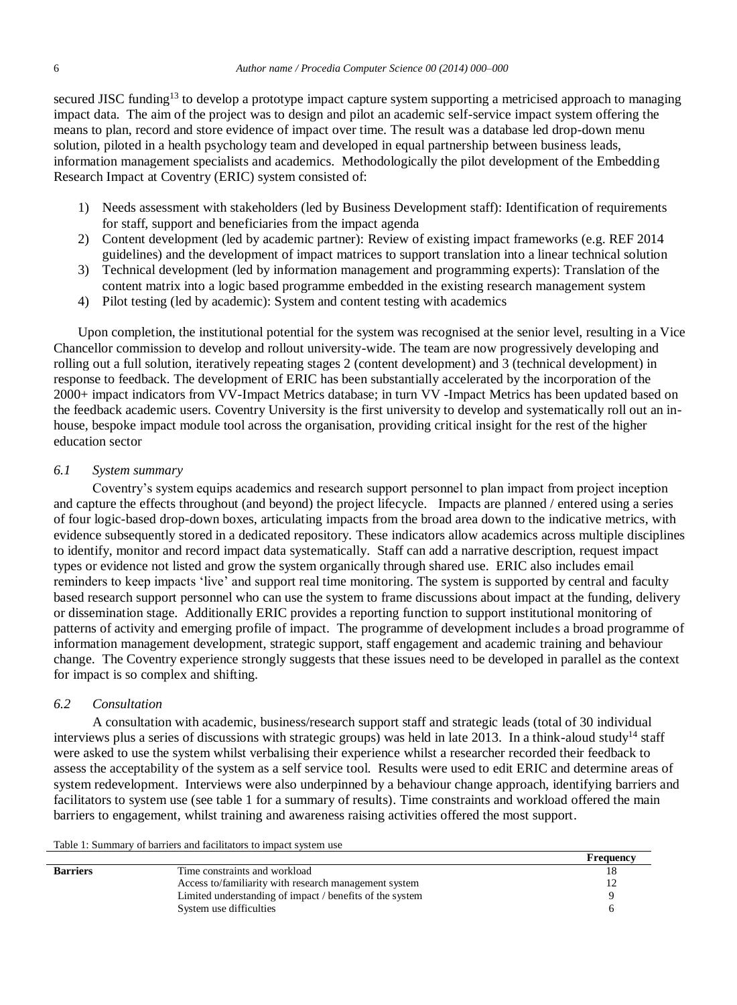secured JISC funding<sup>13</sup> to develop a prototype impact capture system supporting a metricised approach to managing impact data. The aim of the project was to design and pilot an academic self-service impact system offering the means to plan, record and store evidence of impact over time. The result was a database led drop-down menu solution, piloted in a health psychology team and developed in equal partnership between business leads, information management specialists and academics. Methodologically the pilot development of the Embedding Research Impact at Coventry (ERIC) system consisted of:

- 1) Needs assessment with stakeholders (led by Business Development staff): Identification of requirements for staff, support and beneficiaries from the impact agenda
- 2) Content development (led by academic partner): Review of existing impact frameworks (e.g. REF 2014 guidelines) and the development of impact matrices to support translation into a linear technical solution
- 3) Technical development (led by information management and programming experts): Translation of the content matrix into a logic based programme embedded in the existing research management system
- 4) Pilot testing (led by academic): System and content testing with academics

Upon completion, the institutional potential for the system was recognised at the senior level, resulting in a Vice Chancellor commission to develop and rollout university-wide. The team are now progressively developing and rolling out a full solution, iteratively repeating stages 2 (content development) and 3 (technical development) in response to feedback. The development of ERIC has been substantially accelerated by the incorporation of the 2000+ impact indicators from VV-Impact Metrics database; in turn VV -Impact Metrics has been updated based on the feedback academic users. Coventry University is the first university to develop and systematically roll out an inhouse, bespoke impact module tool across the organisation, providing critical insight for the rest of the higher education sector

#### *6.1 System summary*

Coventry's system equips academics and research support personnel to plan impact from project inception and capture the effects throughout (and beyond) the project lifecycle. Impacts are planned / entered using a series of four logic-based drop-down boxes, articulating impacts from the broad area down to the indicative metrics, with evidence subsequently stored in a dedicated repository. These indicators allow academics across multiple disciplines to identify, monitor and record impact data systematically. Staff can add a narrative description, request impact types or evidence not listed and grow the system organically through shared use. ERIC also includes email reminders to keep impacts 'live' and support real time monitoring. The system is supported by central and faculty based research support personnel who can use the system to frame discussions about impact at the funding, delivery or dissemination stage. Additionally ERIC provides a reporting function to support institutional monitoring of patterns of activity and emerging profile of impact. The programme of development includes a broad programme of information management development, strategic support, staff engagement and academic training and behaviour change. The Coventry experience strongly suggests that these issues need to be developed in parallel as the context for impact is so complex and shifting.

## *6.2 Consultation*

A consultation with academic, business/research support staff and strategic leads (total of 30 individual interviews plus a series of discussions with strategic groups) was held in late 2013. In a think-aloud study<sup>14</sup> staff were asked to use the system whilst verbalising their experience whilst a researcher recorded their feedback to assess the acceptability of the system as a self service tool. Results were used to edit ERIC and determine areas of system redevelopment. Interviews were also underpinned by a behaviour change approach, identifying barriers and facilitators to system use (see table 1 for a summary of results). Time constraints and workload offered the main barriers to engagement, whilst training and awareness raising activities offered the most support.

Table 1: Summary of barriers and facilitators to impact system use

|                 |                                                          | <b>Frequency</b> |
|-----------------|----------------------------------------------------------|------------------|
| <b>Barriers</b> | Time constraints and workload                            | 18               |
|                 | Access to/familiarity with research management system    | 12               |
|                 | Limited understanding of impact / benefits of the system |                  |
|                 | System use difficulties                                  |                  |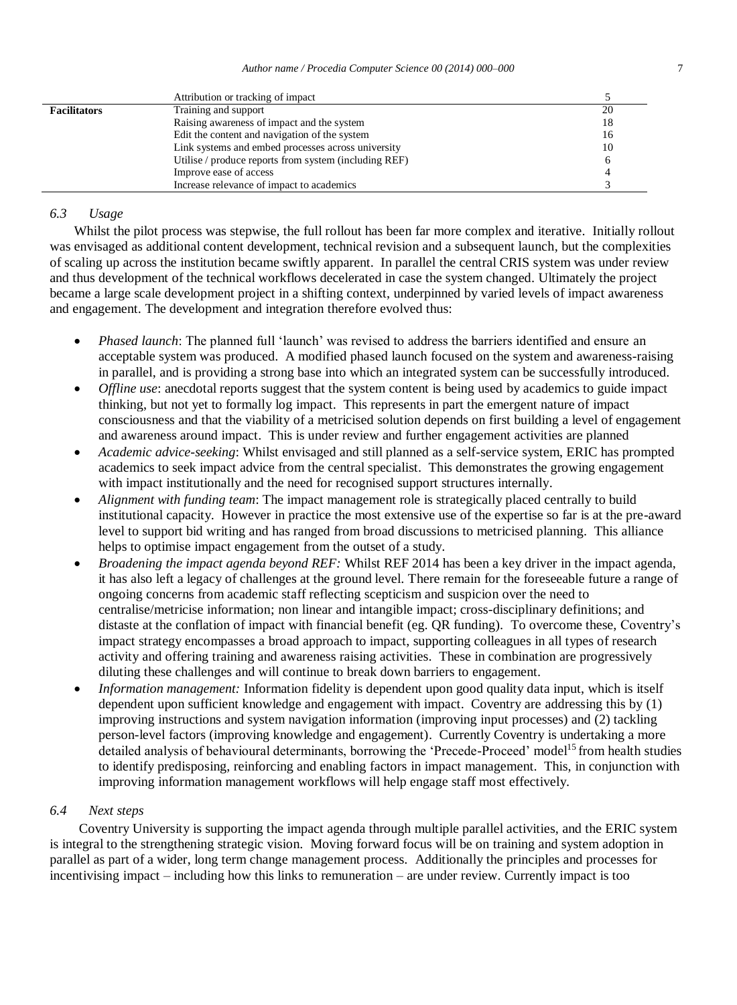|                     | Attribution or tracking of impact                     |    |
|---------------------|-------------------------------------------------------|----|
| <b>Facilitators</b> | Training and support                                  | 20 |
|                     | Raising awareness of impact and the system            | 18 |
|                     | Edit the content and navigation of the system         | 16 |
|                     | Link systems and embed processes across university    | 10 |
|                     | Utilise / produce reports from system (including REF) |    |
|                     | Improve ease of access                                |    |
|                     | Increase relevance of impact to academics             |    |

## *6.3 Usage*

Whilst the pilot process was stepwise, the full rollout has been far more complex and iterative. Initially rollout was envisaged as additional content development, technical revision and a subsequent launch, but the complexities of scaling up across the institution became swiftly apparent. In parallel the central CRIS system was under review and thus development of the technical workflows decelerated in case the system changed. Ultimately the project became a large scale development project in a shifting context, underpinned by varied levels of impact awareness and engagement. The development and integration therefore evolved thus:

- *Phased launch*: The planned full 'launch' was revised to address the barriers identified and ensure an acceptable system was produced. A modified phased launch focused on the system and awareness-raising in parallel, and is providing a strong base into which an integrated system can be successfully introduced.
- *Offline use*: anecdotal reports suggest that the system content is being used by academics to guide impact thinking, but not yet to formally log impact. This represents in part the emergent nature of impact consciousness and that the viability of a metricised solution depends on first building a level of engagement and awareness around impact. This is under review and further engagement activities are planned
- *Academic advice-seeking*: Whilst envisaged and still planned as a self-service system, ERIC has prompted academics to seek impact advice from the central specialist. This demonstrates the growing engagement with impact institutionally and the need for recognised support structures internally.
- *Alignment with funding team*: The impact management role is strategically placed centrally to build institutional capacity. However in practice the most extensive use of the expertise so far is at the pre-award level to support bid writing and has ranged from broad discussions to metricised planning. This alliance helps to optimise impact engagement from the outset of a study.
- *Broadening the impact agenda beyond REF:* Whilst REF 2014 has been a key driver in the impact agenda, it has also left a legacy of challenges at the ground level. There remain for the foreseeable future a range of ongoing concerns from academic staff reflecting scepticism and suspicion over the need to centralise/metricise information; non linear and intangible impact; cross-disciplinary definitions; and distaste at the conflation of impact with financial benefit (eg. QR funding). To overcome these, Coventry's impact strategy encompasses a broad approach to impact, supporting colleagues in all types of research activity and offering training and awareness raising activities. These in combination are progressively diluting these challenges and will continue to break down barriers to engagement.
- *Information management:* Information fidelity is dependent upon good quality data input, which is itself dependent upon sufficient knowledge and engagement with impact. Coventry are addressing this by (1) improving instructions and system navigation information (improving input processes) and (2) tackling person-level factors (improving knowledge and engagement). Currently Coventry is undertaking a more detailed analysis of behavioural determinants, borrowing the 'Precede-Proceed' model<sup>15</sup> from health studies to identify predisposing, reinforcing and enabling factors in impact management. This, in conjunction with improving information management workflows will help engage staff most effectively.

## *6.4 Next steps*

Coventry University is supporting the impact agenda through multiple parallel activities, and the ERIC system is integral to the strengthening strategic vision. Moving forward focus will be on training and system adoption in parallel as part of a wider, long term change management process. Additionally the principles and processes for incentivising impact – including how this links to remuneration – are under review. Currently impact is too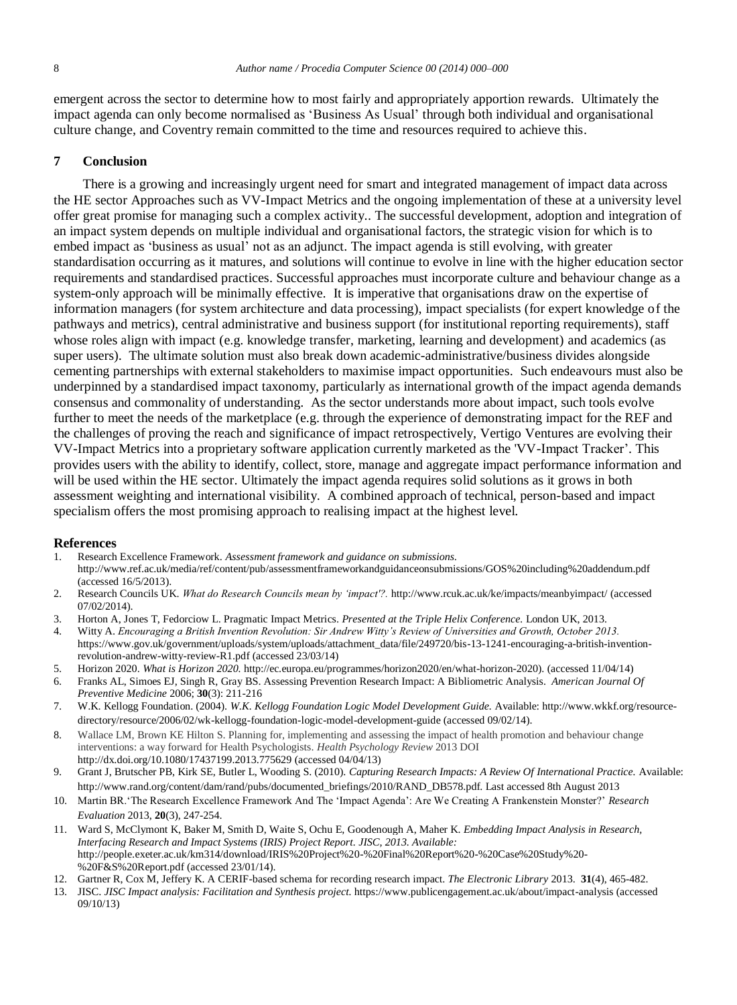emergent across the sector to determine how to most fairly and appropriately apportion rewards. Ultimately the impact agenda can only become normalised as 'Business As Usual' through both individual and organisational culture change, and Coventry remain committed to the time and resources required to achieve this.

## **7 Conclusion**

There is a growing and increasingly urgent need for smart and integrated management of impact data across the HE sector Approaches such as VV-Impact Metrics and the ongoing implementation of these at a university level offer great promise for managing such a complex activity.. The successful development, adoption and integration of an impact system depends on multiple individual and organisational factors, the strategic vision for which is to embed impact as 'business as usual' not as an adjunct. The impact agenda is still evolving, with greater standardisation occurring as it matures, and solutions will continue to evolve in line with the higher education sector requirements and standardised practices. Successful approaches must incorporate culture and behaviour change as a system-only approach will be minimally effective. It is imperative that organisations draw on the expertise of information managers (for system architecture and data processing), impact specialists (for expert knowledge of the pathways and metrics), central administrative and business support (for institutional reporting requirements), staff whose roles align with impact (e.g. knowledge transfer, marketing, learning and development) and academics (as super users). The ultimate solution must also break down academic-administrative/business divides alongside cementing partnerships with external stakeholders to maximise impact opportunities. Such endeavours must also be underpinned by a standardised impact taxonomy, particularly as international growth of the impact agenda demands consensus and commonality of understanding. As the sector understands more about impact, such tools evolve further to meet the needs of the marketplace (e.g. through the experience of demonstrating impact for the REF and the challenges of proving the reach and significance of impact retrospectively, Vertigo Ventures are evolving their VV-Impact Metrics into a proprietary software application currently marketed as the 'VV-Impact Tracker'. This provides users with the ability to identify, collect, store, manage and aggregate impact performance information and will be used within the HE sector. Ultimately the impact agenda requires solid solutions as it grows in both assessment weighting and international visibility. A combined approach of technical, person-based and impact specialism offers the most promising approach to realising impact at the highest level.

#### **References**

- 1. Research Excellence Framework. *Assessment framework and guidance on submissions.*
- <http://www.ref.ac.uk/media/ref/content/pub/assessmentframeworkandguidanceonsubmissions/GOS%20including%20addendum.pdf> (accessed 16/5/2013).
- 2. Research Councils UK. *What do Research Councils mean by 'impact'?.* <http://www.rcuk.ac.uk/ke/impacts/meanbyimpact/> (accessed 07/02/2014).
- 3. Horton A, Jones T, Fedorciow L. Pragmatic Impact Metrics. *Presented at the Triple Helix Conference.* London UK, 2013.
- 4. Witty A. *Encouraging a British Invention Revolution: Sir Andrew Witty's Review of Universities and Growth, October 2013.* [https://www.gov.uk/government/uploads/system/uploads/attachment\\_data/file/249720/bis-13-1241-encouraging-a-british-invention](https://www.gov.uk/government/uploads/system/uploads/attachment_data/file/249720/bis-13-1241-encouraging-a-british-invention-revolution-andrew-witty-review-R1.pdf)[revolution-andrew-witty-review-R1.pdf](https://www.gov.uk/government/uploads/system/uploads/attachment_data/file/249720/bis-13-1241-encouraging-a-british-invention-revolution-andrew-witty-review-R1.pdf) (accessed 23/03/14)
- 5. Horizon 2020. *What is Horizon 2020.* http://ec.europa.eu/programmes/horizon2020/en/what-horizon-2020). (accessed 11/04/14)
- 6. Franks AL, Simoes EJ, Singh R, Gray BS. Assessing Prevention Research Impact: A Bibliometric Analysis. *American Journal Of Preventive Medicine* 2006; **30**(3): 211-216
- 7. W.K. Kellogg Foundation. (2004). *W.K. Kellogg Foundation Logic Model Development Guide.* Available: [http://www.wkkf.org/resource](http://www.wkkf.org/resource-directory/resource/2006/02/wk-kellogg-foundation-logic-model-development-guide)[directory/resource/2006/02/wk-kellogg-foundation-logic-model-development-guide](http://www.wkkf.org/resource-directory/resource/2006/02/wk-kellogg-foundation-logic-model-development-guide) (accessed 09/02/14).
- 8. Wallace LM, Brown KE Hilton S. Planning for, implementing and assessing the impact of health promotion and behaviour change interventions: a way forward for Health Psychologists. *Health Psychology Review* 2013 DOI <http://dx.doi.org/10.1080/17437199.2013.775629> (accessed 04/04/13)
- 9. Grant J, Brutscher PB, Kirk SE, Butler L, Wooding S. (2010). *Capturing Research Impacts: A Review Of International Practice.* Available: http://www.rand.org/content/dam/rand/pubs/documented\_briefings/2010/RAND\_DB578.pdf. Last accessed 8th August 2013
- 10. Martin BR.'The Research Excellence Framework And The 'Impact Agenda': Are We Creating A Frankenstein Monster?' *Research Evaluation* 2013, **20**(3), 247-254.
- 11. Ward S, McClymont K, Baker M, Smith D, Waite S, Ochu E, Goodenough A, Maher K. *Embedding Impact Analysis in Research, Interfacing Research and Impact Systems (IRIS) Project Report. JISC, 2013. Available:*  [http://people.exeter.ac.uk/km314/download/IRIS%20Project%20-%20Final%20Report%20-%20Case%20Study%20-](http://people.exeter.ac.uk/km314/download/IRIS%20Project%20-%20Final%20Report%20-%20Case%20Study%20-%20F&S%20Report.pdf) [%20F&S%20Report.pdf](http://people.exeter.ac.uk/km314/download/IRIS%20Project%20-%20Final%20Report%20-%20Case%20Study%20-%20F&S%20Report.pdf) (accessed 23/01/14).
- 12. Gartner R, Cox M, Jeffery K. A CERIF-based schema for recording research impact. *The Electronic Library* 2013. **31**(4), 465-482.
- 13. JISC. *JISC Impact analysis: Facilitation and Synthesis project.* https://www.publicengagement.ac.uk/about/impact-analysis (accessed 09/10/13)